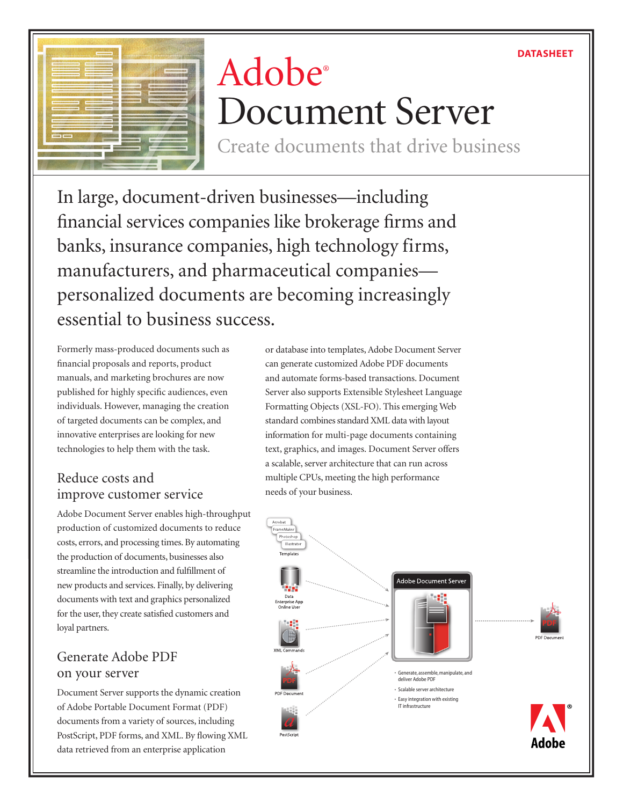### DATASHEET



# Adobe® Document Server

Create documents that drive business

In large, document-driven businesses—including financial services companies like brokerage firms and banks, insurance companies, high technology firms, manufacturers, and pharmaceutical companies personalized documents are becoming increasingly essential to business success.

Formerly mass-produced documents such as financial proposals and reports, product manuals, and marketing brochures are now published for highly specific audiences, even individuals. However, managing the creation of targeted documents can be complex, and innovative enterprises are looking for new technologies to help them with the task.

## Reduce costs and improve customer service

Adobe Document Server enables high-throughput production of customized documents to reduce costs, errors, and processing times. By automating the production of documents, businesses also streamline the introduction and fulfillment of new products and services. Finally, by delivering documents with text and graphics personalized for the user, they create satisfied customers and loyal partners.

## Generate Adobe PDF on your server

Document Server supports the dynamic creation of Adobe Portable Document Format (PDF) documents from a variety of sources, including PostScript, PDF forms, and XML. By flowing XML data retrieved from an enterprise application

or database into templates, Adobe Document Server can generate customized Adobe PDF documents and automate forms-based transactions. Document Server also supports Extensible Stylesheet Language Formatting Objects (XSL-FO). This emerging Web standard combines standard XML data with layout information for multi-page documents containing text, graphics, and images. Document Server offers a scalable, server architecture that can run across multiple CPUs, meeting the high performance needs of your business.